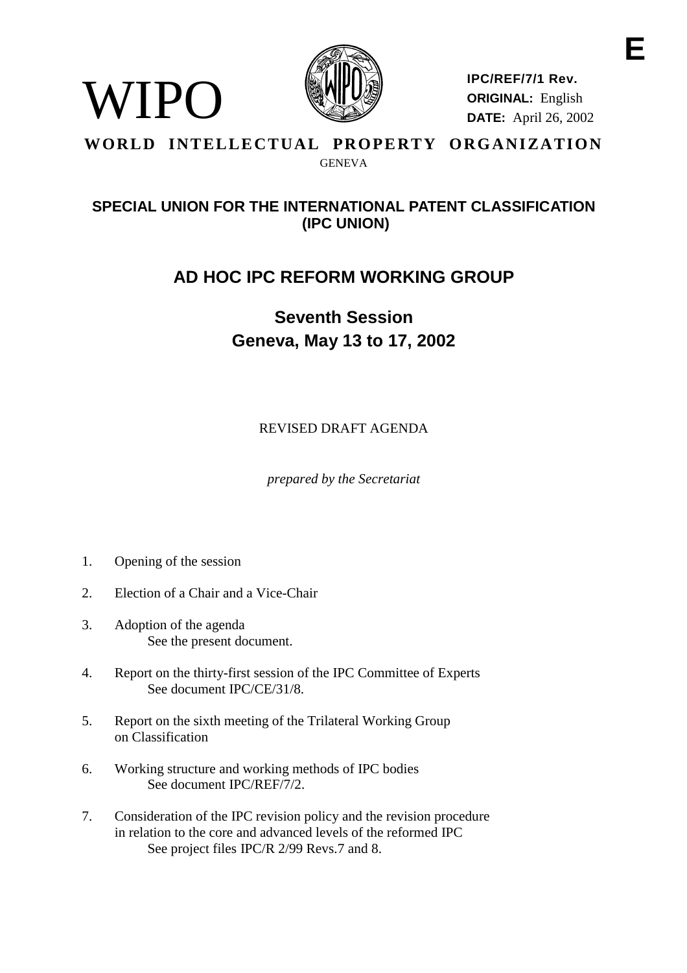

**IPC/REF/7/1 Rev. ORIGINAL:** English **DATE:** April 26, 2002

#### **WORLD INTELLECTUAL PROPERTY ORGANIZATION** GENEVA

### **SPECIAL UNION FOR THE INTERNATIONAL PATENT CLASSIFICATION (IPC UNION)**

## **AD HOC IPC REFORM WORKING GROUP**

# **Seventh Session Geneva, May 13 to 17, 2002**

REVISED DRAFT AGENDA

*prepared by the Secretariat*

1. Opening of the session

WIPO)

- 2. Election of a Chair and a Vice-Chair
- 3. Adoption of the agenda See the present document.
- 4. Report on the thirty-first session of the IPC Committee of Experts See document IPC/CE/31/8.
- 5. Report on the sixth meeting of the Trilateral Working Group on Classification
- 6. Working structure and working methods of IPC bodies See document IPC/REF/7/2.
- 7. Consideration of the IPC revision policy and the revision procedure in relation to the core and advanced levels of the reformed IPC See project files IPC/R 2/99 Revs.7 and 8.